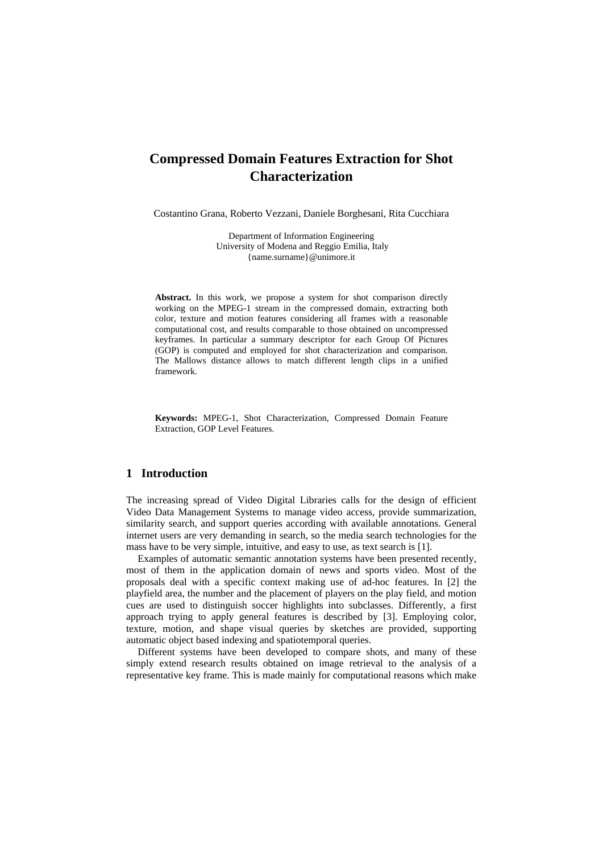# **Compressed Domain Features Extraction for Shot Characterization**

Costantino Grana, Roberto Vezzani, Daniele Borghesani, Rita Cucchiara

Department of Information Engineering University of Modena and Reggio Emilia, Italy {name.surname}@unimore.it

**Abstract.** In this work, we propose a system for shot comparison directly working on the MPEG-1 stream in the compressed domain, extracting both color, texture and motion features considering all frames with a reasonable computational cost, and results comparable to those obtained on uncompressed keyframes. In particular a summary descriptor for each Group Of Pictures (GOP) is computed and employed for shot characterization and comparison. The Mallows distance allows to match different length clips in a unified framework.

**Keywords:** MPEG-1, Shot Characterization, Compressed Domain Feature Extraction, GOP Level Features.

# **1 Introduction**

The increasing spread of Video Digital Libraries calls for the design of efficient Video Data Management Systems to manage video access, provide summarization, similarity search, and support queries according with available annotations. General internet users are very demanding in search, so the media search technologies for the mass have to be very simple, intuitive, and easy to use, as text search is [1].

Examples of automatic semantic annotation systems have been presented recently, most of them in the application domain of news and sports video. Most of the proposals deal with a specific context making use of ad-hoc features. In [2] the playfield area, the number and the placement of players on the play field, and motion cues are used to distinguish soccer highlights into subclasses. Differently, a first approach trying to apply general features is described by [3]. Employing color, texture, motion, and shape visual queries by sketches are provided, supporting automatic object based indexing and spatiotemporal queries.

Different systems have been developed to compare shots, and many of these simply extend research results obtained on image retrieval to the analysis of a representative key frame. This is made mainly for computational reasons which make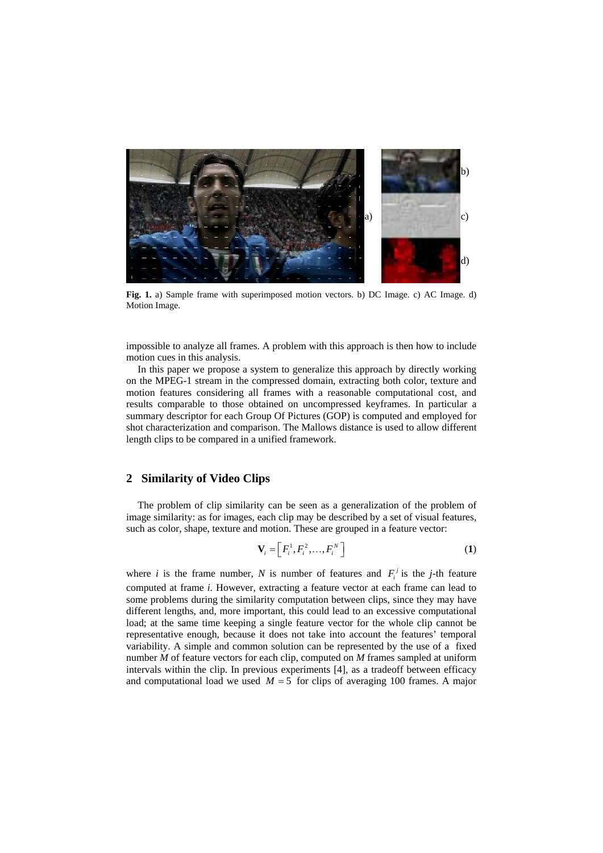

**Fig. 1.** a) Sample frame with superimposed motion vectors. b) DC Image. c) AC Image. d) Motion Image.

impossible to analyze all frames. A problem with this approach is then how to include motion cues in this analysis.

In this paper we propose a system to generalize this approach by directly working on the MPEG-1 stream in the compressed domain, extracting both color, texture and motion features considering all frames with a reasonable computational cost, and results comparable to those obtained on uncompressed keyframes. In particular a summary descriptor for each Group Of Pictures (GOP) is computed and employed for shot characterization and comparison. The Mallows distance is used to allow different length clips to be compared in a unified framework.

# **2 Similarity of Video Clips**

The problem of clip similarity can be seen as a generalization of the problem of image similarity: as for images, each clip may be described by a set of visual features, such as color, shape, texture and motion. These are grouped in a feature vector:

$$
\mathbf{V}_i = \left[ F_i^1, F_i^2, \dots, F_i^N \right] \tag{1}
$$

where *i* is the frame number, *N* is number of features and  $F_i^j$  is the *j*-th feature computed at frame *i*. However, extracting a feature vector at each frame can lead to some problems during the similarity computation between clips, since they may have different lengths, and, more important, this could lead to an excessive computational load; at the same time keeping a single feature vector for the whole clip cannot be representative enough, because it does not take into account the features' temporal variability. A simple and common solution can be represented by the use of a fixed number *M* of feature vectors for each clip, computed on *M* frames sampled at uniform intervals within the clip. In previous experiments [4], as a tradeoff between efficacy and computational load we used  $M = 5$  for clips of averaging 100 frames. A major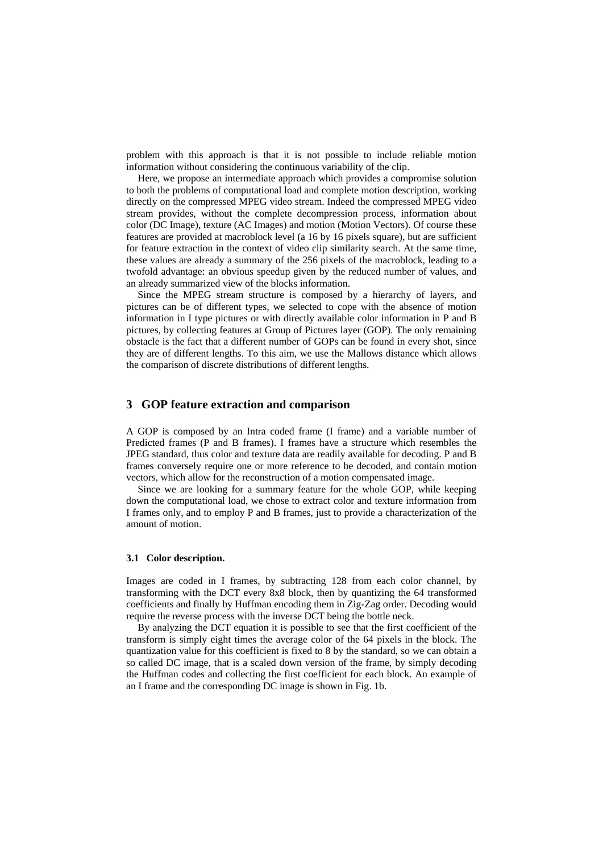problem with this approach is that it is not possible to include reliable motion information without considering the continuous variability of the clip.

Here, we propose an intermediate approach which provides a compromise solution to both the problems of computational load and complete motion description, working directly on the compressed MPEG video stream. Indeed the compressed MPEG video stream provides, without the complete decompression process, information about color (DC Image), texture (AC Images) and motion (Motion Vectors). Of course these features are provided at macroblock level (a 16 by 16 pixels square), but are sufficient for feature extraction in the context of video clip similarity search. At the same time, these values are already a summary of the 256 pixels of the macroblock, leading to a twofold advantage: an obvious speedup given by the reduced number of values, and an already summarized view of the blocks information.

Since the MPEG stream structure is composed by a hierarchy of layers, and pictures can be of different types, we selected to cope with the absence of motion information in I type pictures or with directly available color information in P and B pictures, by collecting features at Group of Pictures layer (GOP). The only remaining obstacle is the fact that a different number of GOPs can be found in every shot, since they are of different lengths. To this aim, we use the Mallows distance which allows the comparison of discrete distributions of different lengths.

# **3 GOP feature extraction and comparison**

A GOP is composed by an Intra coded frame (I frame) and a variable number of Predicted frames (P and B frames). I frames have a structure which resembles the JPEG standard, thus color and texture data are readily available for decoding. P and B frames conversely require one or more reference to be decoded, and contain motion vectors, which allow for the reconstruction of a motion compensated image.

Since we are looking for a summary feature for the whole GOP, while keeping down the computational load, we chose to extract color and texture information from I frames only, and to employ P and B frames, just to provide a characterization of the amount of motion.

#### **3.1 Color description.**

Images are coded in I frames, by subtracting 128 from each color channel, by transforming with the DCT every 8x8 block, then by quantizing the 64 transformed coefficients and finally by Huffman encoding them in Zig-Zag order. Decoding would require the reverse process with the inverse DCT being the bottle neck.

By analyzing the DCT equation it is possible to see that the first coefficient of the transform is simply eight times the average color of the 64 pixels in the block. The quantization value for this coefficient is fixed to 8 by the standard, so we can obtain a so called DC image, that is a scaled down version of the frame, by simply decoding the Huffman codes and collecting the first coefficient for each block. An example of an I frame and the corresponding DC image is shown in Fig. 1b.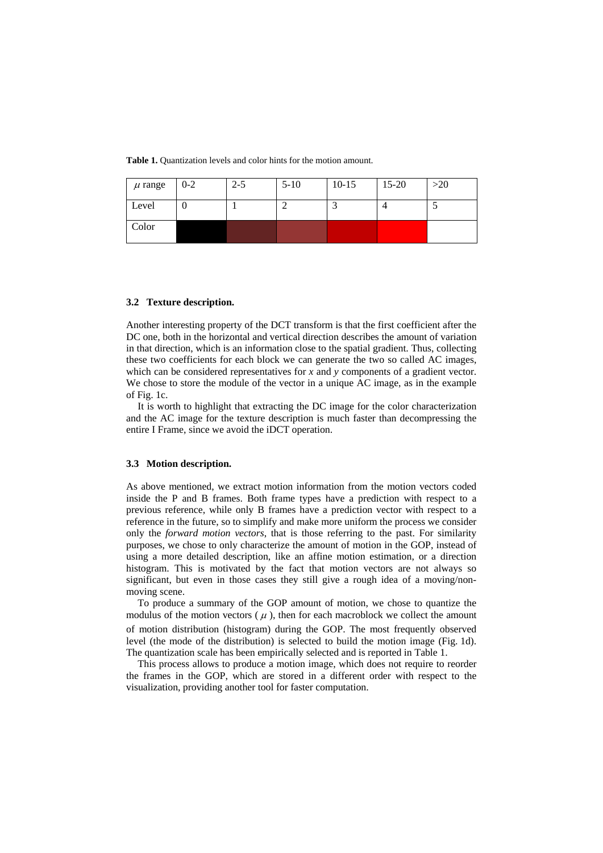**Table 1.** Quantization levels and color hints for the motion amount.

| $\mu$ range | $0 - 2$ | $2 - 5$ | $5-10$ | $10-15$ | $15 - 20$ | $>20$ |
|-------------|---------|---------|--------|---------|-----------|-------|
| Level       | U       |         |        |         |           |       |
| Color       |         |         |        |         |           |       |

#### **3.2 Texture description.**

Another interesting property of the DCT transform is that the first coefficient after the DC one, both in the horizontal and vertical direction describes the amount of variation in that direction, which is an information close to the spatial gradient. Thus, collecting these two coefficients for each block we can generate the two so called AC images, which can be considered representatives for *x* and *y* components of a gradient vector. We chose to store the module of the vector in a unique AC image, as in the example of Fig. 1c.

It is worth to highlight that extracting the DC image for the color characterization and the AC image for the texture description is much faster than decompressing the entire I Frame, since we avoid the iDCT operation.

#### **3.3 Motion description.**

As above mentioned, we extract motion information from the motion vectors coded inside the P and B frames. Both frame types have a prediction with respect to a previous reference, while only B frames have a prediction vector with respect to a reference in the future, so to simplify and make more uniform the process we consider only the *forward motion vectors*, that is those referring to the past. For similarity purposes, we chose to only characterize the amount of motion in the GOP, instead of using a more detailed description, like an affine motion estimation, or a direction histogram. This is motivated by the fact that motion vectors are not always so significant, but even in those cases they still give a rough idea of a moving/nonmoving scene.

To produce a summary of the GOP amount of motion, we chose to quantize the modulus of the motion vectors  $(\mu)$ , then for each macroblock we collect the amount of motion distribution (histogram) during the GOP. The most frequently observed level (the mode of the distribution) is selected to build the motion image (Fig. 1d). The quantization scale has been empirically selected and is reported in Table 1.

This process allows to produce a motion image, which does not require to reorder the frames in the GOP, which are stored in a different order with respect to the visualization, providing another tool for faster computation.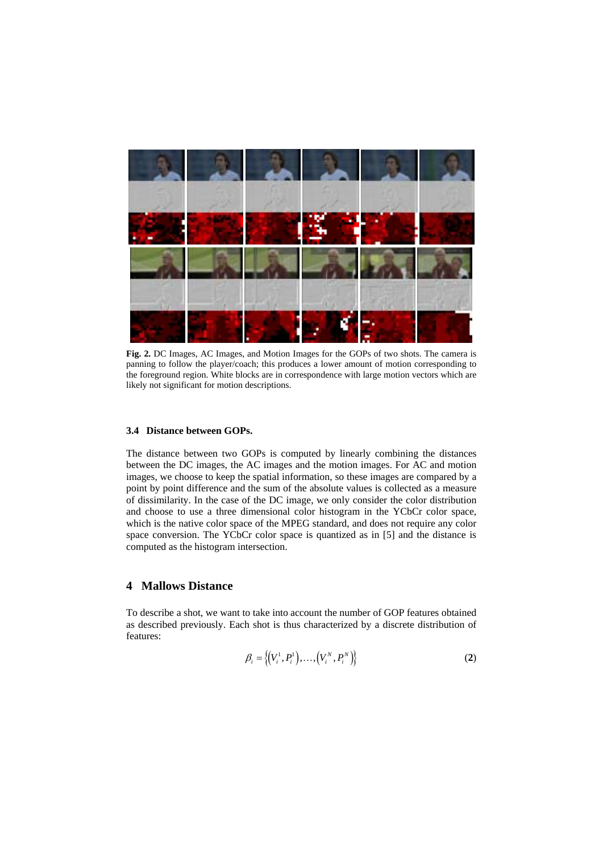

**Fig. 2.** DC Images, AC Images, and Motion Images for the GOPs of two shots. The camera is panning to follow the player/coach; this produces a lower amount of motion corresponding to the foreground region. White blocks are in correspondence with large motion vectors which are likely not significant for motion descriptions.

#### **3.4 Distance between GOPs.**

The distance between two GOPs is computed by linearly combining the distances between the DC images, the AC images and the motion images. For AC and motion images, we choose to keep the spatial information, so these images are compared by a point by point difference and the sum of the absolute values is collected as a measure of dissimilarity. In the case of the DC image, we only consider the color distribution and choose to use a three dimensional color histogram in the YCbCr color space, which is the native color space of the MPEG standard, and does not require any color space conversion. The YCbCr color space is quantized as in [5] and the distance is computed as the histogram intersection.

# **4 Mallows Distance**

To describe a shot, we want to take into account the number of GOP features obtained as described previously. Each shot is thus characterized by a discrete distribution of features:

$$
\beta_i = \{(V_i^1, P_i^1), \dots, (V_i^N, P_i^N)\}
$$
 (2)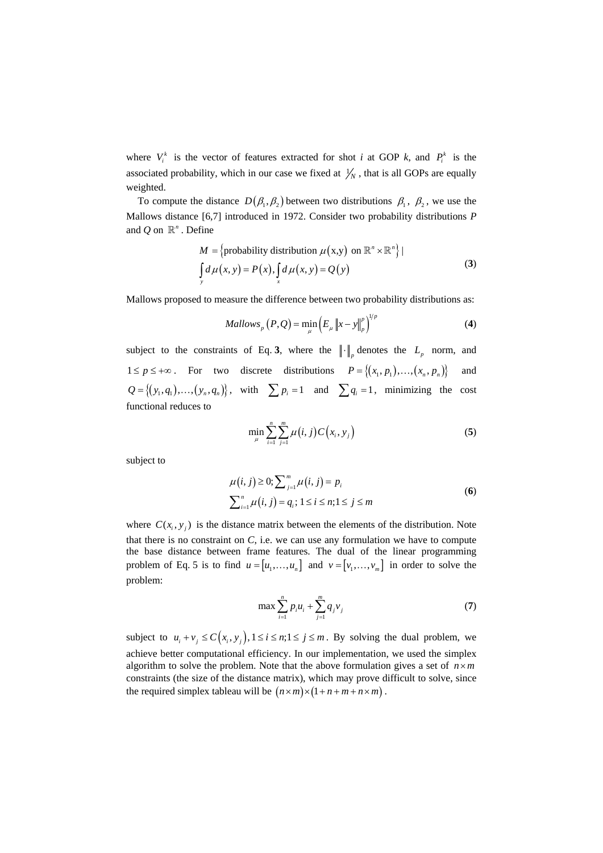where  $V_i^k$  is the vector of features extracted for shot *i* at GOP *k*, and  $P_i^k$  is the associated probability, which in our case we fixed at  $\frac{1}{N}$ , that is all GOPs are equally weighted.

To compute the distance  $D(\beta_1, \beta_2)$  between two distributions  $\beta_1$ ,  $\beta_2$ , we use the Mallows distance [6,7] introduced in 1972. Consider two probability distributions *P* and  $O$  on  $\mathbb{R}^n$ . Define

$$
M = \{ \text{probability distribution } \mu(x,y) \text{ on } \mathbb{R}^n \times \mathbb{R}^n \} | \n\int_{y} d\mu(x,y) = P(x), \int_{x} d\mu(x,y) = Q(y)
$$
\n(3)

Mallows proposed to measure the difference between two probability distributions as:

$$
Mallowsp (P,Q) = \min_{\mu} \left( E_{\mu} ||x - y||_{p}^{p} \right)^{1/p}
$$
 (4)

subject to the constraints of Eq. 3, where the  $\|\cdot\|_p$  denotes the  $L_p$  norm, and  $1 \le p \le +\infty$ . For two discrete distributions  $P = \{(x_1, p_1), ..., (x_n, p_n)\}$  and  ${Q} = \{(y_1, q_1), ..., (y_n, q_n)\}\,$ , with  $\sum p_i = 1$  and  $\sum q_i = 1$ , minimizing the cost functional reduces to

$$
\min_{\mu} \sum_{i=1}^{n} \sum_{j=1}^{m} \mu(i, j) C(x_i, y_j)
$$
 (5)

subject to

$$
\mu(i, j) \ge 0; \sum_{j=1}^{m} \mu(i, j) = p_i
$$
  

$$
\sum_{i=1}^{n} \mu(i, j) = q_i; 1 \le i \le n; 1 \le j \le m
$$
 (6)

where  $C(x_i, y_i)$  is the distance matrix between the elements of the distribution. Note that there is no constraint on *C*, i.e. we can use any formulation we have to compute the base distance between frame features. The dual of the linear programming problem of Eq. 5 is to find  $u = [u_1, \dots, u_n]$  and  $v = [v_1, \dots, v_m]$  in order to solve the problem:

$$
\max \sum_{i=1}^{n} p_i u_i + \sum_{j=1}^{m} q_j v_j \tag{7}
$$

subject to  $u_i + v_j \leq C(x_i, y_j)$ ,  $1 \leq i \leq n; 1 \leq j \leq m$ . By solving the dual problem, we achieve better computational efficiency. In our implementation, we used the simplex algorithm to solve the problem. Note that the above formulation gives a set of  $n \times m$ constraints (the size of the distance matrix), which may prove difficult to solve, since the required simplex tableau will be  $(n \times m) \times (1 + n + m + n \times m)$ .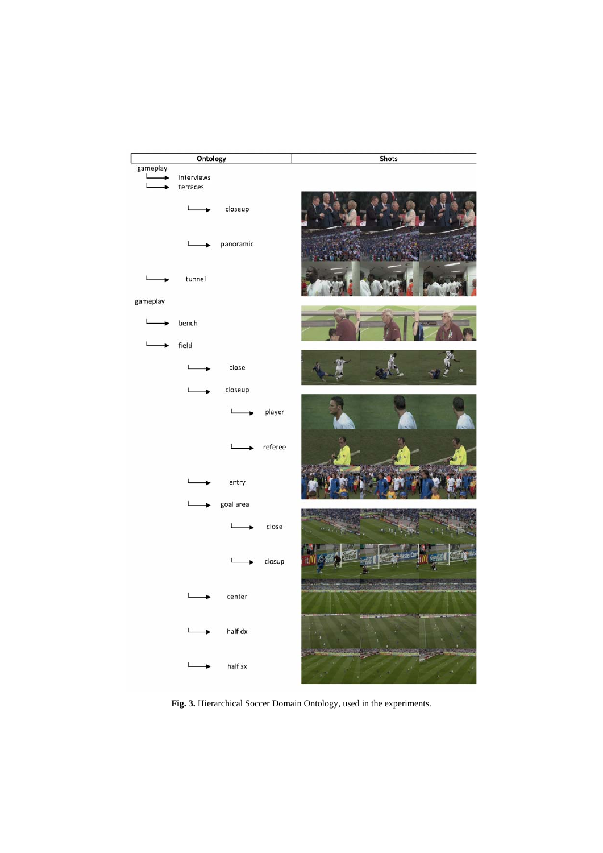

**Fig. 3.** Hierarchical Soccer Domain Ontology, used in the experiments.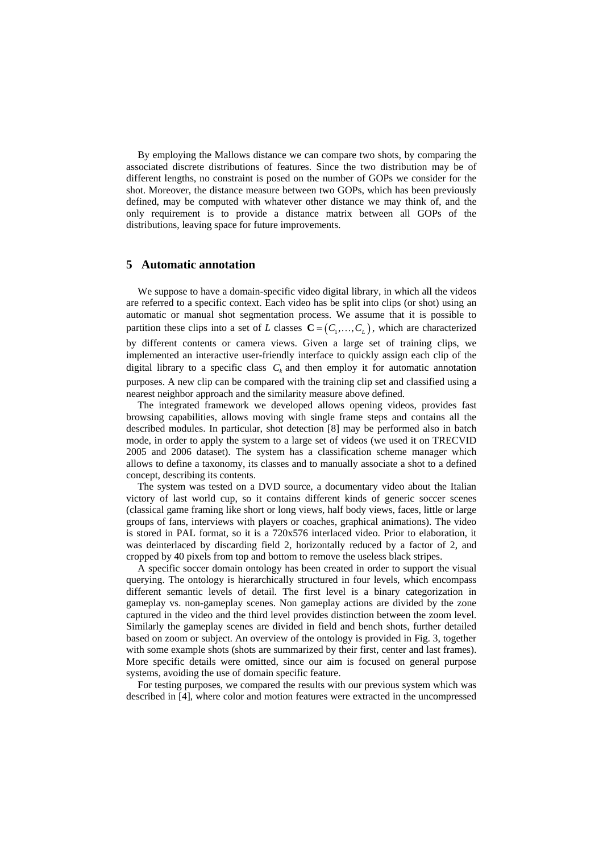By employing the Mallows distance we can compare two shots, by comparing the associated discrete distributions of features. Since the two distribution may be of different lengths, no constraint is posed on the number of GOPs we consider for the shot. Moreover, the distance measure between two GOPs, which has been previously defined, may be computed with whatever other distance we may think of, and the only requirement is to provide a distance matrix between all GOPs of the distributions, leaving space for future improvements.

### **5 Automatic annotation**

We suppose to have a domain-specific video digital library, in which all the videos are referred to a specific context. Each video has be split into clips (or shot) using an automatic or manual shot segmentation process. We assume that it is possible to partition these clips into a set of *L* classes  $\mathbf{C} = (C_1, \ldots, C_k)$ , which are characterized by different contents or camera views. Given a large set of training clips, we implemented an interactive user-friendly interface to quickly assign each clip of the digital library to a specific class  $C_k$  and then employ it for automatic annotation purposes. A new clip can be compared with the training clip set and classified using a nearest neighbor approach and the similarity measure above defined.

The integrated framework we developed allows opening videos, provides fast browsing capabilities, allows moving with single frame steps and contains all the described modules. In particular, shot detection [8] may be performed also in batch mode, in order to apply the system to a large set of videos (we used it on TRECVID 2005 and 2006 dataset). The system has a classification scheme manager which allows to define a taxonomy, its classes and to manually associate a shot to a defined concept, describing its contents.

The system was tested on a DVD source, a documentary video about the Italian victory of last world cup, so it contains different kinds of generic soccer scenes (classical game framing like short or long views, half body views, faces, little or large groups of fans, interviews with players or coaches, graphical animations). The video is stored in PAL format, so it is a 720x576 interlaced video. Prior to elaboration, it was deinterlaced by discarding field 2, horizontally reduced by a factor of 2, and cropped by 40 pixels from top and bottom to remove the useless black stripes.

A specific soccer domain ontology has been created in order to support the visual querying. The ontology is hierarchically structured in four levels, which encompass different semantic levels of detail. The first level is a binary categorization in gameplay vs. non-gameplay scenes. Non gameplay actions are divided by the zone captured in the video and the third level provides distinction between the zoom level. Similarly the gameplay scenes are divided in field and bench shots, further detailed based on zoom or subject. An overview of the ontology is provided in Fig. 3, together with some example shots (shots are summarized by their first, center and last frames). More specific details were omitted, since our aim is focused on general purpose systems, avoiding the use of domain specific feature.

For testing purposes, we compared the results with our previous system which was described in [4], where color and motion features were extracted in the uncompressed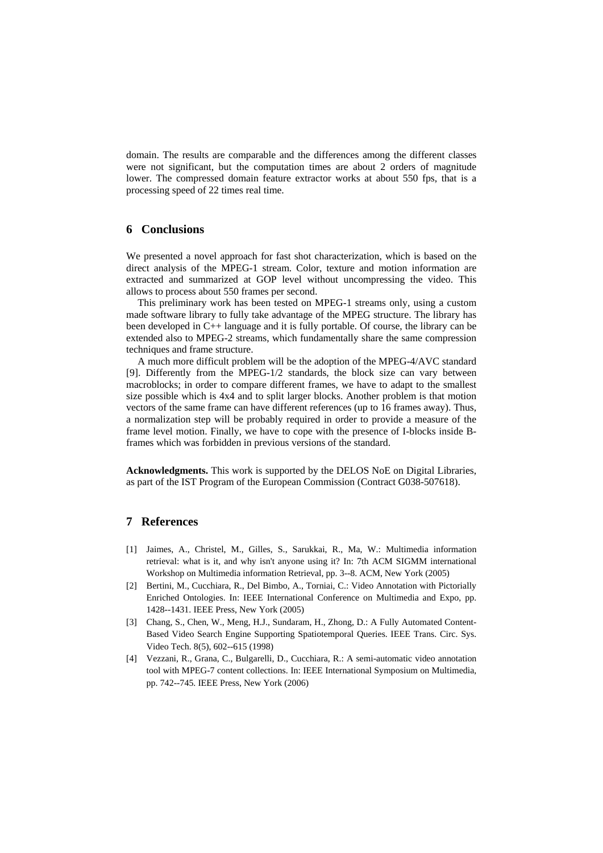domain. The results are comparable and the differences among the different classes were not significant, but the computation times are about 2 orders of magnitude lower. The compressed domain feature extractor works at about 550 fps, that is a processing speed of 22 times real time.

# **6 Conclusions**

We presented a novel approach for fast shot characterization, which is based on the direct analysis of the MPEG-1 stream. Color, texture and motion information are extracted and summarized at GOP level without uncompressing the video. This allows to process about 550 frames per second.

This preliminary work has been tested on MPEG-1 streams only, using a custom made software library to fully take advantage of the MPEG structure. The library has been developed in C++ language and it is fully portable. Of course, the library can be extended also to MPEG-2 streams, which fundamentally share the same compression techniques and frame structure.

A much more difficult problem will be the adoption of the MPEG-4/AVC standard [9]. Differently from the MPEG-1/2 standards, the block size can vary between macroblocks; in order to compare different frames, we have to adapt to the smallest size possible which is 4x4 and to split larger blocks. Another problem is that motion vectors of the same frame can have different references (up to 16 frames away). Thus, a normalization step will be probably required in order to provide a measure of the frame level motion. Finally, we have to cope with the presence of I-blocks inside Bframes which was forbidden in previous versions of the standard.

**Acknowledgments.** This work is supported by the DELOS NoE on Digital Libraries, as part of the IST Program of the European Commission (Contract G038-507618).

# **7 References**

- [1] Jaimes, A., Christel, M., Gilles, S., Sarukkai, R., Ma, W.: Multimedia information retrieval: what is it, and why isn't anyone using it? In: 7th ACM SIGMM international Workshop on Multimedia information Retrieval, pp. 3--8. ACM, New York (2005)
- [2] Bertini, M., Cucchiara, R., Del Bimbo, A., Torniai, C.: Video Annotation with Pictorially Enriched Ontologies. In: IEEE International Conference on Multimedia and Expo, pp. 1428--1431. IEEE Press, New York (2005)
- [3] Chang, S., Chen, W., Meng, H.J., Sundaram, H., Zhong, D.: A Fully Automated Content-Based Video Search Engine Supporting Spatiotemporal Queries. IEEE Trans. Circ. Sys. Video Tech. 8(5), 602--615 (1998)
- [4] Vezzani, R., Grana, C., Bulgarelli, D., Cucchiara, R.: A semi-automatic video annotation tool with MPEG-7 content collections. In: IEEE International Symposium on Multimedia, pp. 742--745. IEEE Press, New York (2006)